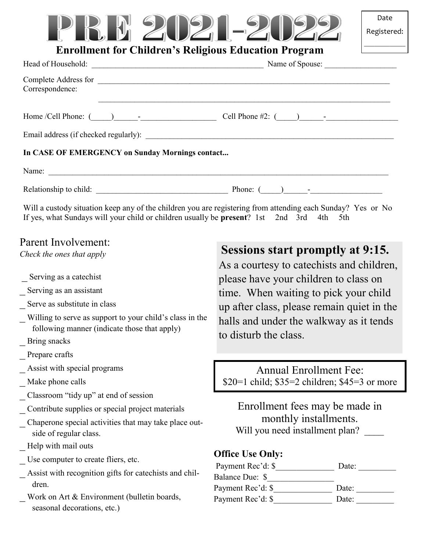## R. M 2020-2

### **Enrollment for Children's Religious Education Program**

| Correspondence:                                 |                                                                                                                                                                                                                 |
|-------------------------------------------------|-----------------------------------------------------------------------------------------------------------------------------------------------------------------------------------------------------------------|
|                                                 |                                                                                                                                                                                                                 |
|                                                 |                                                                                                                                                                                                                 |
| In CASE OF EMERGENCY on Sunday Mornings contact |                                                                                                                                                                                                                 |
|                                                 |                                                                                                                                                                                                                 |
|                                                 |                                                                                                                                                                                                                 |
|                                                 | Will a custody situation keep any of the children you are registering from attending each Sunday? Yes or No<br>If yes, what Sundays will your child or children usually be <b>present</b> ? 1st 2nd 3rd 4th 5th |

## Parent Involvement:

*Check the ones that apply*

- Serving as a catechist
- Serving as an assistant
- \_ Serve as substitute in class
- Willing to serve as support to your child's class in the following manner (indicate those that apply)
- \_ Bring snacks
- Prepare crafts
- Assist with special programs
- Make phone calls
- Classroom "tidy up" at end of session
- Contribute supplies or special project materials
- Chaperone special activities that may take place outside of regular class.
- Help with mail outs
- Use computer to create fliers, etc.
- \_ Assist with recognition gifts for catechists and children.
- Work on Art & Environment (bulletin boards, seasonal decorations, etc.)

## **Sessions start promptly at 9:15.**

As a courtesy to catechists and children, please have your children to class on time. When waiting to pick your child up after class, please remain quiet in the halls and under the walkway as it tends to disturb the class.

Annual Enrollment Fee: \$20=1 child; \$35=2 children; \$45=3 or more

Enrollment fees may be made in monthly installments. Will you need installment plan?

#### **Office Use Only:**

| Payment Rec'd: \$ | Date: |
|-------------------|-------|
| Balance Due: \$   |       |
| Payment Rec'd: \$ | Date: |
| Payment Rec'd: \$ | Date: |
|                   |       |